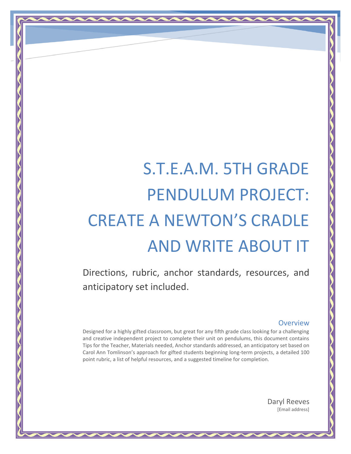# S.T.E.A.M. 5TH GRADE PENDULUM PROJECT: CREATE A NEWTON'S CRADLE AND WRITE ABOUT IT

Directions, rubric, anchor standards, resources, and anticipatory set included.

#### **Overview**

Designed for a highly gifted classroom, but great for any fifth grade class looking for a challenging and creative independent project to complete their unit on pendulums, this document contains Tips for the Teacher, Materials needed, Anchor standards addressed, an anticipatory set based on Carol Ann Tomlinson's approach for gifted students beginning long-term projects, a detailed 100 point rubric, a list of helpful resources, and a suggested timeline for completion.

> Daryl Reeves [Email address]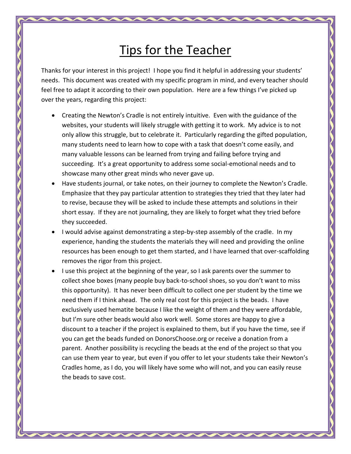# Tips for the Teacher

Thanks for your interest in this project! I hope you find it helpful in addressing your students' needs. This document was created with my specific program in mind, and every teacher should feel free to adapt it according to their own population. Here are a few things I've picked up over the years, regarding this project:

- Creating the Newton's Cradle is not entirely intuitive. Even with the guidance of the websites, your students will likely struggle with getting it to work. My advice is to not only allow this struggle, but to celebrate it. Particularly regarding the gifted population, many students need to learn how to cope with a task that doesn't come easily, and many valuable lessons can be learned from trying and failing before trying and succeeding. It's a great opportunity to address some social-emotional needs and to showcase many other great minds who never gave up.
- Have students journal, or take notes, on their journey to complete the Newton's Cradle. Emphasize that they pay particular attention to strategies they tried that they later had to revise, because they will be asked to include these attempts and solutions in their short essay. If they are not journaling, they are likely to forget what they tried before they succeeded.
- I would advise against demonstrating a step-by-step assembly of the cradle. In my experience, handing the students the materials they will need and providing the online resources has been enough to get them started, and I have learned that over-scaffolding removes the rigor from this project.
- I use this project at the beginning of the year, so I ask parents over the summer to collect shoe boxes (many people buy back-to-school shoes, so you don't want to miss this opportunity). It has never been difficult to collect one per student by the time we need them if I think ahead. The only real cost for this project is the beads. I have exclusively used hematite because I like the weight of them and they were affordable, but I'm sure other beads would also work well. Some stores are happy to give a discount to a teacher if the project is explained to them, but if you have the time, see if you can get the beads funded on DonorsChoose.org or receive a donation from a parent. Another possibility is recycling the beads at the end of the project so that you can use them year to year, but even if you offer to let your students take their Newton's Cradles home, as I do, you will likely have some who will not, and you can easily reuse the beads to save cost.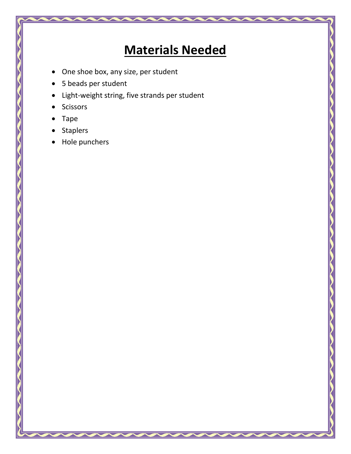# **Materials Needed**

- One shoe box, any size, per student
- 5 beads per student
- Light-weight string, five strands per student
- Scissors
- Tape
- Staplers
- Hole punchers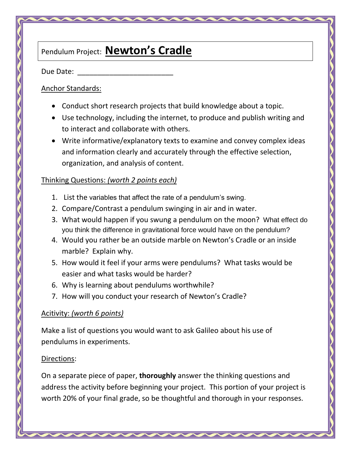### Pendulum Project: **Newton's Cradle**

Due Date:

#### Anchor Standards:

- Conduct short research projects that build knowledge about a topic.
- Use technology, including the internet, to produce and publish writing and to interact and collaborate with others.
- Write informative/explanatory texts to examine and convey complex ideas and information clearly and accurately through the effective selection, organization, and analysis of content.

#### Thinking Questions: *(worth 2 points each)*

- 1. List the variables that affect the rate of a pendulum's swing.
- 2. Compare/Contrast a pendulum swinging in air and in water.
- 3. What would happen if you swung a pendulum on the moon? What effect do you think the difference in gravitational force would have on the pendulum?
- 4. Would you rather be an outside marble on Newton's Cradle or an inside marble? Explain why.
- 5. How would it feel if your arms were pendulums? What tasks would be easier and what tasks would be harder?
- 6. Why is learning about pendulums worthwhile?
- 7. How will you conduct your research of Newton's Cradle?

#### Acitivity: *(worth 6 points)*

Make a list of questions you would want to ask Galileo about his use of pendulums in experiments.

#### Directions:

On a separate piece of paper, **thoroughly** answer the thinking questions and address the activity before beginning your project. This portion of your project is worth 20% of your final grade, so be thoughtful and thorough in your responses.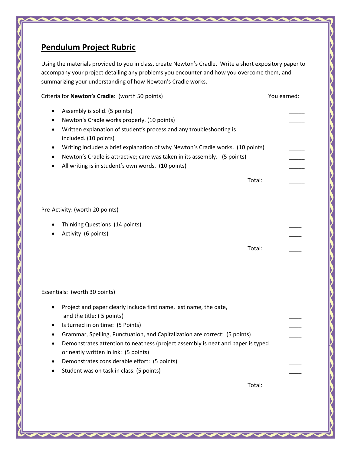### **Pendulum Project Rubric**

Using the materials provided to you in class, create Newton's Cradle. Write a short expository paper to accompany your project detailing any problems you encounter and how you overcome them, and summarizing your understanding of how Newton's Cradle works.

| Criteria for <b>Newton's Cradle:</b> (worth 50 points)                                                                                                                                                                                                                                                                                                                                                                                                       | You earned: |
|--------------------------------------------------------------------------------------------------------------------------------------------------------------------------------------------------------------------------------------------------------------------------------------------------------------------------------------------------------------------------------------------------------------------------------------------------------------|-------------|
| Assembly is solid. (5 points)<br>٠<br>Newton's Cradle works properly. (10 points)<br>٠<br>Written explanation of student's process and any troubleshooting is<br>٠<br>included. (10 points)<br>Writing includes a brief explanation of why Newton's Cradle works. (10 points)<br>٠<br>Newton's Cradle is attractive; care was taken in its assembly. (5 points)<br>٠<br>All writing is in student's own words. (10 points)<br>٠<br>Total:                    |             |
| Pre-Activity: (worth 20 points)                                                                                                                                                                                                                                                                                                                                                                                                                              |             |
| Thinking Questions (14 points)<br>٠<br>Activity (6 points)<br>٠<br>Total:                                                                                                                                                                                                                                                                                                                                                                                    |             |
| Essentials: (worth 30 points)                                                                                                                                                                                                                                                                                                                                                                                                                                |             |
| Project and paper clearly include first name, last name, the date,<br>٠<br>and the title: (5 points)<br>Is turned in on time: (5 Points)<br>٠<br>Grammar, Spelling, Punctuation, and Capitalization are correct: (5 points)<br>Demonstrates attention to neatness (project assembly is neat and paper is typed<br>or neatly written in ink: (5 points)<br>Demonstrates considerable effort: (5 points)<br>Student was on task in class: (5 points)<br>Total: |             |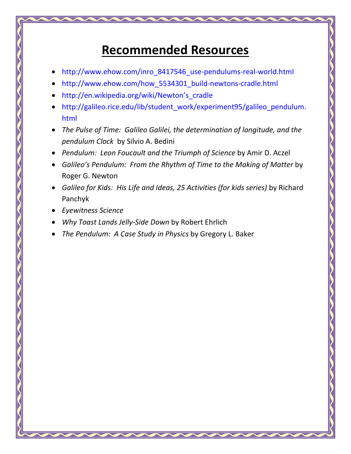### **Recommended Resources**

- [http://www.ehow.com/inro\\_8417546\\_use-pendulums-real-world.html](http://www.ehow.com/inro_8417546_use-pendulums-real-world.html)
- [http://www.ehow.com/how\\_5534301\\_build-newtons-cradle.html](http://www.ehow.com/how_5534301_build-newtons-cradle.html)
- [http://en.wikipedia.org/wiki/Newton's\\_cradle](http://en.wikipedia.org/wiki/Newton)
- [http://galileo.rice.edu/lib/student\\_work/experiment95/galileo\\_pendulum.](http://galileo.rice.edu/lib/student_work/experiment95/galileo_pendulum.html) [html](http://galileo.rice.edu/lib/student_work/experiment95/galileo_pendulum.html)
- *The Pulse of Time: Galileo Galilei, the determination of longitude, and the pendulum Clock* by Silvio A. Bedini
- *Pendulum: Leon Foucault and the Triumph of Science* by Amir D. Aczel
- *Galileo's Pendulum: From the Rhythm of Time to the Making of Matter* by Roger G. Newton
- *Galileo for Kids: His Life and Ideas, 25 Activities (for kids series)* by Richard Panchyk
- *Eyewitness Science*
- *Why Toast Lands Jelly-Side Down* by Robert Ehrlich
- *The Pendulum: A Case Study in Physics* by Gregory L. Baker